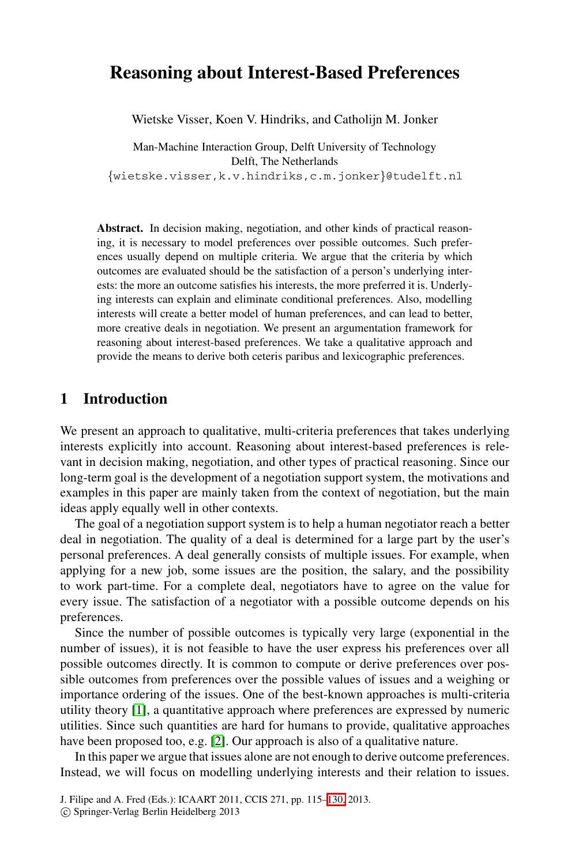# **Reasoning about Interest-Based Preferences**

Wietske Visser, Koen V. Hindriks, and Catholijn M. Jonker

Man-Machine Interaction Group, Delft University of Technology Delft, The Netherlands *{*wietske.visser,k.v.hindriks,c.m.jonker*}*@tudelft.nl

**Abstract.** In decision making, negotiation, and other kinds of practical reasoning, it is necessary to model preferences over possible outcomes. Such preferences usually depend on multiple criteria. We argue that the criteria by which outcomes are evaluated should be the satisfaction of a person's underlying interests: the more an outcome satisfies his interests, the more preferred it is. Underlying interests can explain and eliminate conditional preferences. Also, modelling interests will create a better model of human preferences, and can lead to better, more creative deals in negotiation. We present an argumentation framework for reasoning about interest-based preferences. We take a qualitative approach and provide the means to derive both ceteris paribus and lexicographic preferences.

## **1 Introduction**

We present an approach to qualitative, multi-criteria preferences that takes underlying interests explicitly into account. Reasoning about interest-based preferences is relevant in decision making, negotiation, and other types of practical reasoning. Since our long-term goal is the development of a negotiation support system, the motivations and examples in this paper are mainly taken from the context of negotiation, but the main ideas apply equally well in other contexts.

The goal of a negotiation support system is to help a human negotiator reach a better deal in negotiation. The quality of a deal is determined for a large part by the user's personal preferences. A deal generally consists of multiple issues. For example, when applying for a new job, some issues are the position, the salary, and the possibility to work part-time. For a complete deal, negotiators have to agree on the value for every issue. The satisfaction of a negotiator with a possible outcome depends on his preferenc[es.](#page-14-0)

Since the number of possible outcomes is typically very large (exponential in the number of issues), it is not feasible to have the user express his preferences over all possible outcomes directly. It is common to compute or derive preferences over possible outcomes from preferenc[es ov](#page-15-0)er the possible values of issues and a weighing or importance ordering of the issues. One of the best-known approaches is multi-criteria utility theory [1], a quantitative approach where preferences are expressed by numeric utilities. Since such quantities are hard for humans to provide, qualitative approaches have been proposed too, e.g. [2]. Our approach is also of a qualitative nature.

In this paper we argue that issues alone are not enough to derive outcome preferences. Instead, we will focus on modelling underlying interests and their relation to issues.

J. Filipe and A. Fred (Eds.): ICAART 2011, CCIS 271, pp. 115–130, 2013.

<sup>-</sup>c Springer-Verlag Berlin Heidelberg 2013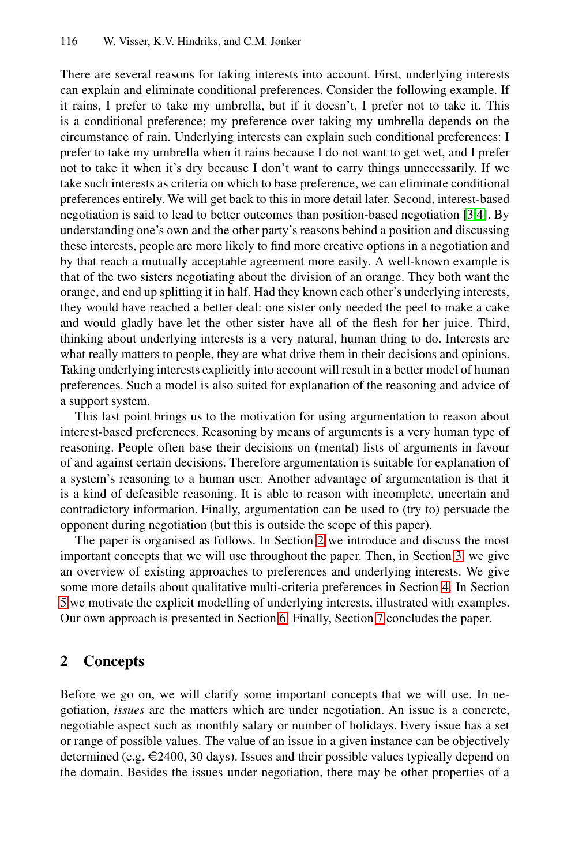There are several reasons for taking interests into account. First, underlying interests can explain and eliminate conditional preferences. Consid[er](#page-14-1) [th](#page-14-2)e following example. If it rains, I prefer to take my umbrella, but if it doesn't, I prefer not to take it. This is a conditional preference; my preference over taking my umbrella depends on the circumstance of rain. Underlying interests can explain such conditional preferences: I prefer to take my umbrella when it rains because I do not want to get wet, and I prefer not to take it when it's dry because I don't want to carry things unnecessarily. If we take such interests as criteria on which to base preference, we can eliminate conditional preferences entirely. We will get back to this in more detail later. Second, interest-based negotiation is said to lead to better outcomes than position-based negotiation [3,4]. By understanding one's own and the other party's reasons behind a position and discussing these interests, people are more likely to find more creative options in a negotiation and by that reach a mutually acceptable agreement more easily. A well-known example is that of the two sisters negotiating about the division of an orange. They both want the orange, and end up splitting it in half. Had they known each other's underlying interests, they would have reached a better deal: one sister only needed the peel to make a cake and would gladly have let the other sister have all of the flesh for her juice. Third, thinking about underlying interests is a very natural, human thing to do. Interests are what really matters to people, they are what drive them in their decisions and opinions. Taking underlying interests explicitly into account will result in a better model of human preferences. Such a model is also suited for explanation of the reasoning and advice of a support system.

<span id="page-1-0"></span>This last point brings us t[o t](#page-1-0)he motivation for using argumentation to reason about interest-based preferences. Reasoning by means of argu[m](#page-2-0)ents is a very human type of reasoning. People often base their decisions on (mental) lists of arguments in favour of and against certain decisions. Therefore argumenta[tio](#page-3-0)n is suitable for explanation of a system's reasoning to a human user. Another advantage of argumentation is that it is a kind of defeasibl[e r](#page-8-0)easoning. It is a[ble](#page-13-0) to reason with incomplete, uncertain and contradictory information. Finally, argumentation can be used to (try to) persuade the opponent during negotiation (but this is outside the scope of this paper).

The paper is organised as follows. In Section 2 we introduce and discuss the most important concepts that we will use throughout the paper. Then, in Section 3, we give an overview of existing approaches to preferences and underlying interests. We give some more details about qualitative multi-criteria preferences in Section 4. In Section 5 we motivate the explicit modelling of underlying interests, illustrated with examples. Our own approach is presented in Section 6. Finally, Section 7 concludes the paper.

## **2 Concepts**

Before we go on, we will clarify some important concepts that we will use. In negotiation, *issues* are the matters which are under negotiation. An issue is a concrete, negotiable aspect such as monthly salary or number of holidays. Every issue has a set or range of possible values. The value of an issue in a given instance can be objectively determined (e.g.  $\in$ 2400, 30 days). Issues and their possible values typically depend on the domain. Besides the issues under negotiation, there may be other properties of a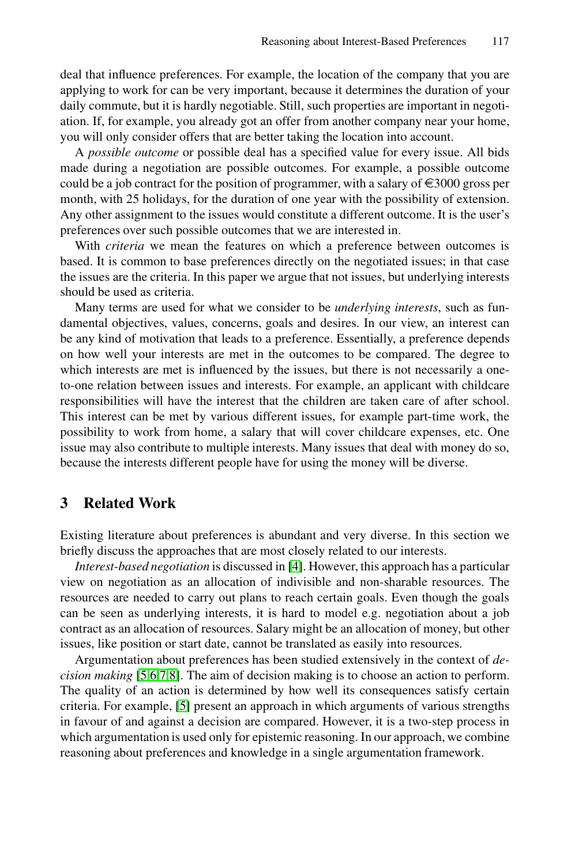deal that influence preferences. For example, the location of the company that you are applying to work for can be very important, because it determines the duration of your daily commute, but it is hardly negotiable. Still, such properties are important in negotiation. If, for example, you already got an offer from another company near your home, you will only consider offers that are better taking the location into account.

A *possible outcome* or possible deal has a specified value for every issue. All bids made during a negotiation are possible outcomes. For example, a possible outcome could be a job contract for the position of programmer, with a salary of  $\epsilon$  3000 gross per month, with 25 holidays, for the duration of one year with the possibility of extension. Any other assignment to the issues would constitute a different outcome. It is the user's preferences over such possible outcomes that we are interested in.

<span id="page-2-0"></span>With *criteria* we mean the features on which a preference between outcomes is based. It is common to base preferences directly on the negotiated issues; in that case the issues are the criteria. In this paper we argue that not issues, but underlying interests should be used as criteria.

Many terms are used for what we consider to be *underlying interests*, such as fundamental objectives, values, concerns, goals and desires. In our view, an interest can be any kind of motivation that leads to a preference. Essentially, a preference depends on how well your interests are met in the outcomes to be compared. The degree to which interests are met is influenced by the issues, but there is not necessarily a oneto-one relation between issues and interests. For example, an applicant with childcare responsibilities will have the interest that the children are taken care of after school. This interest can be met by various different issues, for example part-time work, the possibility to work from home, a salary that will cover childcare expenses, etc. One issue may also contribut[e to](#page-14-2) multiple interests. Many issues that deal with money do so, because the interests different people have for using the money will be diverse.

## **3 Related Work**

Existing literature about preferences is abundant and very diverse. In this section we [b](#page-14-3)[rie](#page-15-1)fly discuss the approaches that are most closely related to our interests.

*Interest-based negotiation* is discussed in [4]. However, this approach has a particular vie[w](#page-14-4) on negotiation as an allocation of indivisible and non-sharable resources. The resources are needed to carry out plans to reach certain goals. Even though the goals can be seen as underlying interests, it is hard to model e.g. negotiation about a job contract as an allocation of resources. Salary might be an allocation of money, but other issues, like position or start date, cannot be translated as easily into resources.

Argumentation about preferences has been studied extensively in the context of *decision making* [5,6,7,8]. The aim of decision making is to choose an action to perform. The quality of an action is determined by how well its consequences satisfy certain criteria. For example, [5] present an approach in which arguments of various strengths in favour of and against a decision are compared. However, it is a two-step process in which argumentation is used only for epistemic reasoning. In our approach, we combine reasoning about preferences and knowledge in a single argumentation framework.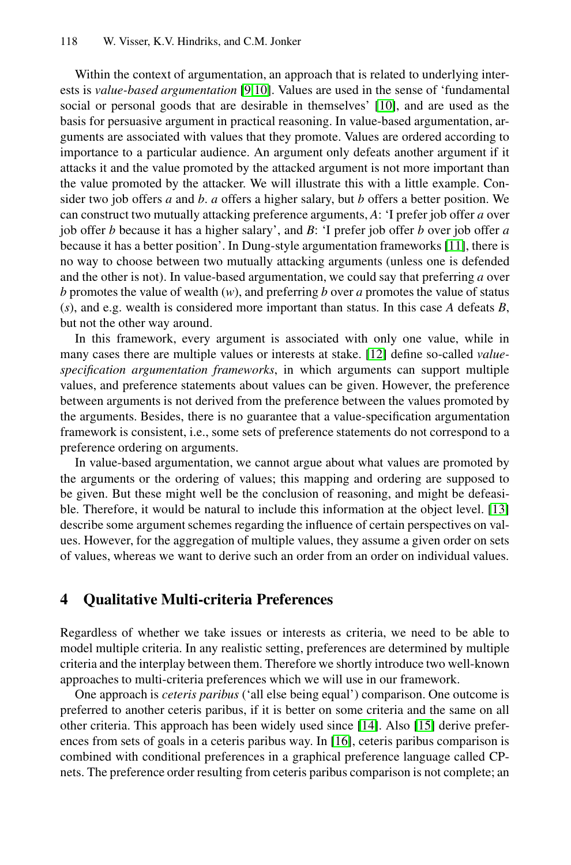Within the context of argumentation, an approach that is related to underlying interests is *value-based argumentation* [9,10]. Values are used in the sense of 'fundamental social or personal goods that are desirable in themselves' [10], and are used as the basis for persuasive argument in practical reasoning. I[n va](#page-15-2)lue-based argumentation, arguments are associated with values that they promote. Values are ordered according to importance to a particular audience. An argument only defeats another argument if it attacks it and the value promoted by the attacked argument is not more important than the value promoted by the attacker. We will illustrate this with a little example. Consider two job offers *a* and *b*. *a* offers a higher salary, but *b* offers a better position. We can construct two mutually attacking preference arguments, *A*: 'I prefer job offer *a* over job offer *b* because it has a higher salar[y',](#page-15-3) and *B*: 'I prefer job offer *b* over job offer *a* because it has a better position'. In Dung-style argumentation frameworks [11], there is no way to choose between two mutually attacking arguments (unless one is defended and the other is not). In value-based argumentation, we could say that preferring *a* over *b* promotes the value of wealth (*w*), and preferring *b* over *a* promotes the value of status (*s*), and e.g. wealth is considered more important than status. In this case *A* defeats *B*, but not the other way around.

<span id="page-3-0"></span>In this framework, every argument is associated with only one value, while in many cases there are multiple values or interests at stake. [12] define so-called *valuespecification argumentation frameworks*, in which arguments can support multiple values, and preference statements about values can be given. [How](#page-15-4)ever, the preference between arguments is not derived from the preference between the values promoted by the arguments. Besides, there is no guarantee that a value-specification argumentation framework is consistent, i.e., some sets of preference statements do not correspond to a preference ordering on arguments.

In value-based argumentation, we cannot argue about what values are promoted by the arguments or the ordering of values; this mapping and ordering are supposed to be given. But these might well be the conclusion of reasoning, and might be defeasible. Therefore, it would be natural to include this information at the object level. [13] describe some argument schemes regarding the influence of certain perspectives on values. However, for the aggregation of multiple values, they assume a given order on sets of values, whereas we want to derive such an order from an order on individual values.

### **4 Qualitative Multi-criteria [Pre](#page-15-5)feren[ces](#page-15-6)**

Regardless of whether we take [issu](#page-15-7)es or interests as criteria, we need to be able to model multiple criteria. In any realistic setting, preferences are determined by multiple criteria and the interplay between them. Therefore we shortly introduce two well-known approaches to multi-criteria preferences which we will use in our framework.

One approach is *ceteris paribus* ('all else being equal') comparison. One outcome is preferred to another ceteris paribus, if it is better on some criteria and the same on all other criteria. This approach has been widely used since [14]. Also [15] derive preferences from sets of goals in a ceteris paribus way. In [16], ceteris paribus comparison is combined with conditional preferences in a graphical preference language called CPnets. The preference order resulting from ceteris paribus comparison is not complete; an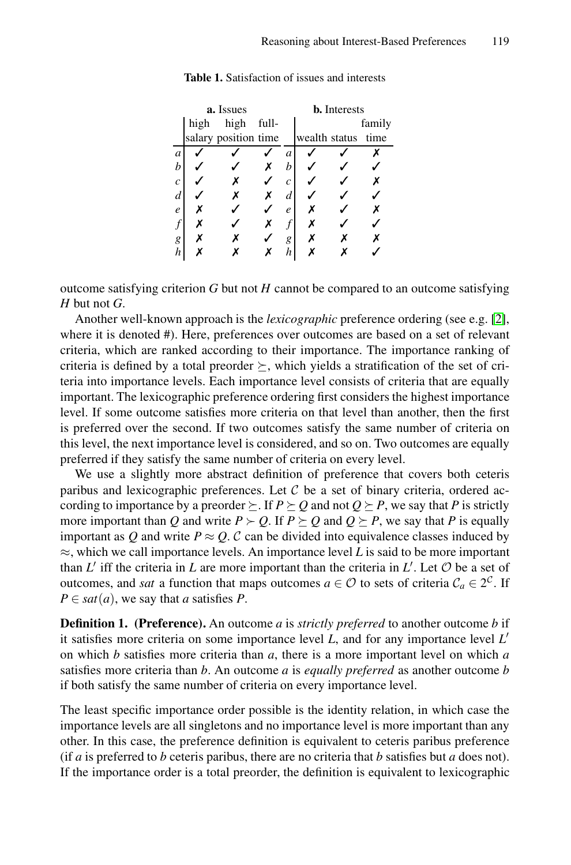|                         | a. Issues |                      |       |                  | <b>b.</b> Interests |  |        |  |
|-------------------------|-----------|----------------------|-------|------------------|---------------------|--|--------|--|
|                         | high      | high                 | full- |                  |                     |  | family |  |
|                         |           | salary position time |       |                  | wealth status       |  | time   |  |
| $\overline{a}$          |           |                      |       | a                |                     |  |        |  |
| b                       |           |                      |       | h                |                     |  |        |  |
| $\mathcal{C}_{0}^{(n)}$ |           |                      |       | $\mathcal{C}$    |                     |  |        |  |
| d                       |           |                      |       | d                |                     |  |        |  |
| $\ell$                  |           |                      |       | $\boldsymbol{e}$ |                     |  |        |  |
| f                       |           |                      |       |                  |                     |  |        |  |
| g                       |           |                      |       | g                |                     |  |        |  |
| h                       |           |                      |       | h                |                     |  |        |  |

<span id="page-4-0"></span>**Table 1.** Satisfaction of issues and interests

outcome satisfying criterion *G* but not *H* cannot be compared to an outcome satisfying *H* but not *G*.

Another well-known approach is the *lexicographic* preference ordering (see e.g. [2], where it is denoted #). Here, preferences over outcomes are based on a set of relevant criteria, which are ranked according to their importance. The importance ranking of criteria is defined by a total preorder  $\succeq$ , which yields a stratification of the set of criteria into importance levels. Each importance level consists of criteria that are equally important. The lexicographic preference ordering first considers the highest importance level. If some outcome satisfies more criteria on that level than another, then the first is preferred over the second. If two outcomes satisfy the same number of criteria on this level, the next importance level is considered, and so on. Two outcomes are equally preferred if they satisfy the same number of criteria on every level.

We use a slightly more abstract definition of preference that covers both ceteris paribus and lexicographic preferences. Let  $C$  be a set of binary criteria, ordered according to importance by a preorder  $\succeq$  . If  $P \succeq Q$  and not  $Q \succeq P$ , we say that  $P$  is strictly more important than Q and write  $P \succ Q$ . If  $P \succeq Q$  and  $Q \succeq P$ , we say that P is equally important as Q and write  $P \approx Q$ . C can be divided into equivalence classes induced by ≈, which we call importance levels. An importance level *L* is said to be more important than  $L'$  iff the criteria in  $L$  are more important than the criteria in  $L'$ . Let  $O$  be a set of outcomes, and *sat* a function that maps outcomes  $a \in \mathcal{O}$  to sets of criteria  $\mathcal{C}_a \in 2^{\mathcal{C}}$ . If  $P \in sat(a)$ , we say that *a* satisfies *P*.

**Definition 1. (Preference).** An outcome *a* is *strictly preferred* to another outcome *b* if it satisfies more criteria on some importance level *L*, and for any importance level *L* on which *b* satisfies more criteria than *a*, there is a more important level on which *a* satisfies more criteria than *b*. An outcome *a* is *equally preferred* as another outcome *b* if both satisfy the same number of criteria on every importance level.

The least specific importance order possible is the identity relation, in which case the importance levels are all singletons and no importance level is more important than any other. In this case, the preference definition is equivalent to ceteris paribus preference (if *a* is preferred to *b* ceteris paribus, there are no criteria that *b* satisfies but *a* does not). If the importance order is a total preorder, the definition is equivalent to lexicographic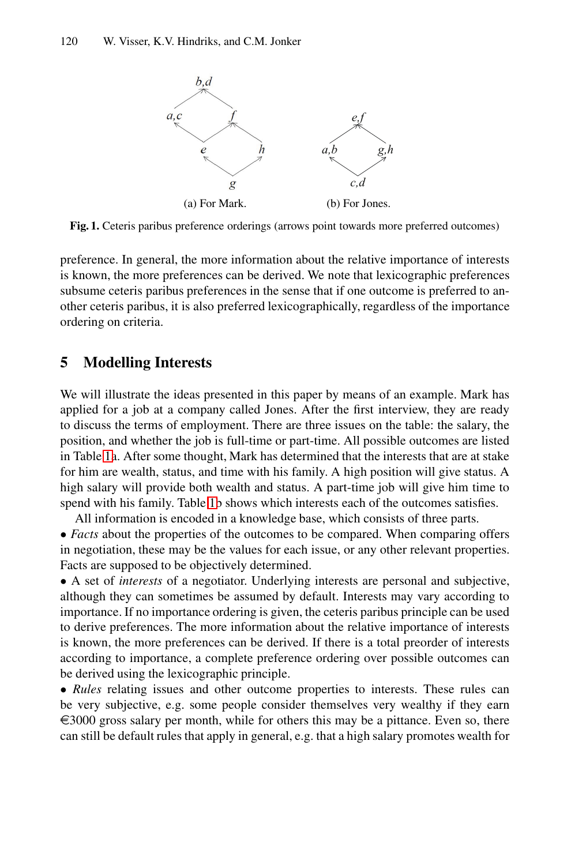<span id="page-5-0"></span>

**Fig. 1.** Ceteris paribus preference orderings (arrows point towards more preferred outcomes)

preference. In general, the more information about the relative importance of interests is known, the more preferences can be derived. We note that lexicographic preferences subsume ceteris paribus preferences in the sense that if one outcome is preferred to another ceteris paribus, it is also preferred lexicographically, regardless of the importance ordering on criteria.

## **5 Modelling Interests**

We will [illu](#page-4-0)strate the ideas presented in this paper by means of an example. Mark has applied for a job at a company called Jones. After the first interview, they are ready to discuss the terms of employment. There are three issues on the table: the salary, the position, and whether the job is full-time or part-time. All possible outcomes are listed in Table 1a. After some thought, Mark has determined that the interests that are at stake for him are wealth, status, and time with his family. A high position will give status. A high salary will provide both wealth and status. A part-time job will give him time to spend with his family. Table 1b shows which interests each of the outcomes satisfies.

All information is encoded in a knowledge base, which consists of three parts.

• *Facts* about the properties of the outcomes to be compared. When comparing offers in negotiation, these may be the values for each issue, or any other relevant properties. Facts are supposed to be objectively determined.

• A set of *interests* of a negotiator. Underlying interests are personal and subjective, although they can sometimes be assumed by default. Interests may vary according to importance. If no importance ordering is given, the ceteris paribus principle can be used to derive preferences. The more information about the relative importance of interests is known, the more preferences can be derived. If there is a total preorder of interests according to importance, a complete preference ordering over possible outcomes can be derived using the lexicographic principle.

• *Rules* relating issues and other outcome properties to interests. These rules can be very subjective, e.g. some people consider themselves very wealthy if they earn  $\epsilon$ 3000 gross salary per month, while for others this may be a pittance. Even so, there can still be default rules that apply in general, e.g. that a high salary promotes wealth for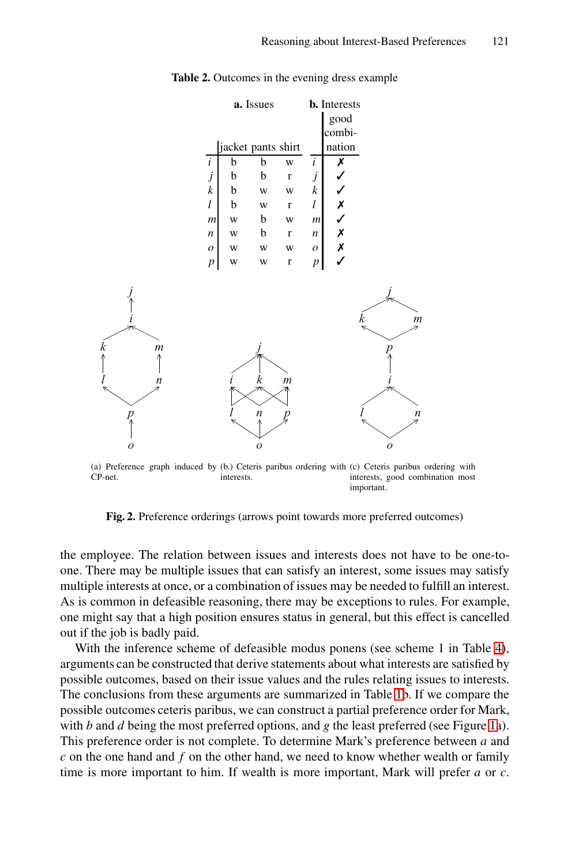

<span id="page-6-0"></span>**Table 2.** Outcomes in the evening dress example

<span id="page-6-1"></span>(a) Preference graph induced by (b.) Ceteris paribus ordering with (c) Ceteris paribus ordering with CP-net. interests. interests, good combination most important.

**Fig. 2.** Preference orderings (arrows point towards more preferred outcomes)

the employee. The relation between issues and interests does not have to be one-toone. There may be multiple issues that can s[ati](#page-4-0)sfy an interest, some issues may satisfy multiple interests at once, or a combination of issues may be needed to fulfill an interest. As is common in defeasible reasoning, there may be exceptio[ns t](#page-5-0)o rules. For example, one might say that a high position ensures status in general, but this effect is cancelled out if the job is badly paid.

With the inference scheme of defeasible modus ponens (see scheme 1 in Table 4), arguments can be constructed that derive statements about what interests are satisfied by possible outcomes, based on their issue values and the rules relating issues to interests. The conclusions from these arguments are summarized in Table 1b. If we compare the possible outcomes ceteris paribus, we can construct a partial preference order for Mark, with *b* and *d* being the most preferred options, and *g* the least preferred (see Figure 1a). This preference order is not complete. To determine Mark's preference between *a* and *c* on the one hand and *f* on the other hand, we need to know whether wealth or family time is more important to him. If wealth is more important, Mark will prefer *a* or *c*.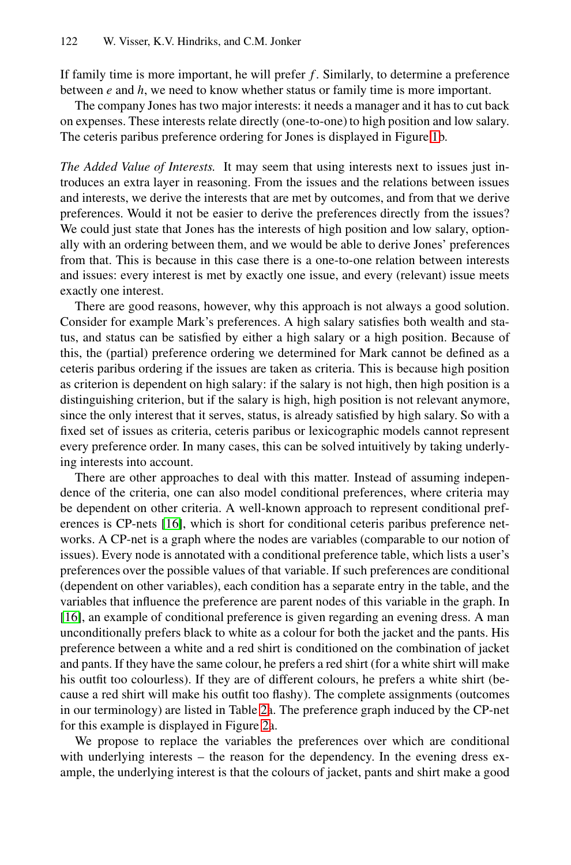If family time is more important, he will prefer *f* . Similarly, to determine a preference between *e* and *h*, we need to know whether status or family time is more important.

The company Jones has two major interests: it needs a manager and it has to cut back on expenses. These interests relate directly (one-to-one) to high position and low salary. The ceteris paribus preference ordering for Jones is displayed in Figure 1b.

*The Added Value of Interests.* It may seem that using interests next to issues just introduces an extra layer in reasoning. From the issues and the relations between issues and interests, we derive the interests that are met by outcomes, and from that we derive preferences. Would it not be easier to derive the preferences directly from the issues? We could just state that Jones has the interests of high position and low salary, optionally with an ordering between them, and we would be able to derive Jones' preferences from that. This is because in this case there is a one-to-one relation between interests and issues: every interest is met by exactly one issue, and every (relevant) issue meets exactly one interest.

There are good reasons, however, why this approach is not always a good solution. Consider for example Mark's preferences. A high salary satisfies both wealth and status, and status can be satisfied by either a high salary or a high position. Because of this, the (partial) preference ordering we determined for Mark cannot be defined as a ceteris paribus ordering if the issues are taken as criteria. This is because high position as criterion is dependent on high salary: if the salary is not high, then high position is a [dist](#page-15-7)inguishing criterion, but if the salary is high, high position is not relevant anymore, since the only interest that it serves, status, is already satisfied by high salary. So with a fixed set of issues as criteria, ceteris paribus or lexicographic models cannot represent every preference order. In many cases, this can be solved intuitively by taking underlying interests into account.

There are other approaches to deal with this matter. Instead of assuming independence of the criteria, one can also model conditional preferences, where criteria may be dependent on other criteria. A well-known approach to represent conditional preferences is CP-nets [16], which is short for conditional ceteris paribus preference networks. A CP-net is a graph where the nodes are variables (comparable to our notion of issues). Every node is annotated with a conditional preference table, which lists a user's preferences over the possible values of that variable. If such preferences are conditional (dependent on oth[er v](#page-6-0)ariables), each condition has a separate entry in the table, and the variables that influ[enc](#page-6-1)e the preference are parent nodes of this variable in the graph. In [16], an example of conditional preference is given regarding an evening dress. A man unconditionally prefers black to white as a colour for both the jacket and the pants. His preference between a white and a red shirt is conditioned on the combination of jacket and pants. If they have the same colour, he prefers a red shirt (for a white shirt will make his outfit too colourless). If they are of different colours, he prefers a white shirt (because a red shirt will make his outfit too flashy). The complete assignments (outcomes in our terminology) are listed in Table 2a. The preference graph induced by the CP-net for this example is displayed in Figure 2a.

We propose to replace the variables the preferences over which are conditional with underlying interests – the reason for the dependency. In the evening dress example, the underlying interest is that the colours of jacket, pants and shirt make a good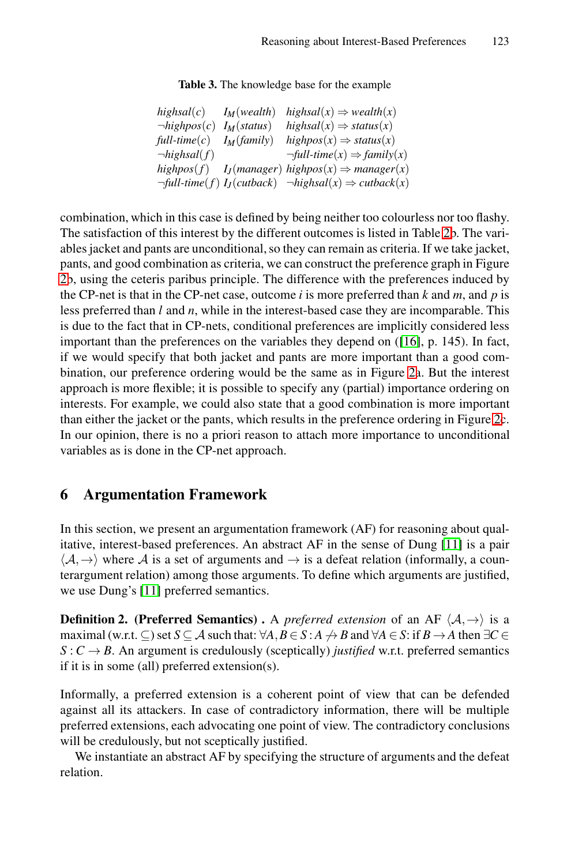**Table 3.** The knowledge base for the example

*highsal*(*c*)  $I_M$ (*wealth*) *highsal*(*x*)  $\Rightarrow$  *wealth*(*x*)  $\neg$ *highpos*(*c*) *I<sub>M</sub>*(*status*) *highsal*(*x*)  $\Rightarrow$  *status*(*x*) *full-time*(*c*) *I<sub>M</sub>*(*family*) *highpos*(*x*)  $\Rightarrow$  *status*(*x*)  $full-time(c)$  *I<sub>M</sub>*(*family*)  $\neg$ *highsal*(*f*)  $\neg$ *full-time*(*x*)  $\Rightarrow$  *family*(*x*)  $highpos(f)$  *I<sub>J</sub>*(*manager*)  $highpos(x) \Rightarrow manager(x)$  $\neg full-time(f) I_J(cutback) \rightarrow highsal(x) \Rightarrow cutback(x)$ 

<span id="page-8-0"></span>combination, which in this case is defined by b[eing](#page-15-7) neither too colourless nor too flashy. The satisfaction of this interest by the different outcomes is listed in Table 2b. The variables jacket and pants are unconditional, so they [ca](#page-6-1)n remain as criteria. If we take jacket, pants, and good combination as criteria, we can construct the preference graph in Figure 2b, using the ceteris paribus principle. The difference with the preferences induced by the CP-net is that in the CP-net case, outcome *i* is more preferre[d t](#page-6-1)han *k* and *m*, and *p* is less preferred than *l* and *n*, while in the interest-based case they are incomparable. This is due to the fact that in CP-nets, conditional preferences are implicitly considered less important than the preferences on the variables they depend on ([16], p. 145). In fact, if we would specify that both jacket and pants are more important than a good combination, our preference ordering would be the same as in Figure 2a. But the interest approach is more flexible; it is possible to specify any (partial) importance ordering on interests. For example, we could also state that a good combination is more important than either the jacket or the pants, which results in the [pref](#page-15-2)erence ordering in Figure 2c. In our opinion, there is no a priori reason to attach more importance to unconditional variables as is done in the CP-net approach.

### **6 Argumentation Framework**

In this section, we present an argumentation framework (AF) for reasoning about qualitative, interest-based preferences. An abstract AF in the sense of Dung [11] is a pair  $\langle A, \rightarrow \rangle$  where A is a set of arguments and  $\rightarrow$  is a defeat relation (informally, a counterargument relation) among those arguments. To define which arguments are justified, we use Dung's [11] preferred semantics.

**Definition 2. (Preferred Semantics)** . A *preferred extension* of an AF  $\langle A, \rightarrow \rangle$  is a maximal (w.r.t. ⊆) set *S* ⊆ *A* such that:  $\forall A, B \in S : A \nrightarrow B$  and  $\forall A \in S : \text{if } B \rightarrow A$  then  $\exists C \in S$  $S: C \rightarrow B$ . An argument is credulously (sceptically) *justified* w.r.t. preferred semantics if it is in some (all) preferred extension(s).

Informally, a preferred extension is a coherent point of view that can be defended against all its attackers. In case of contradictory information, there will be multiple preferred extensions, each advocating one point of view. The contradictory conclusions will be credulously, but not sceptically justified.

We instantiate an abstract AF by specifying the structure of arguments and the defeat relation.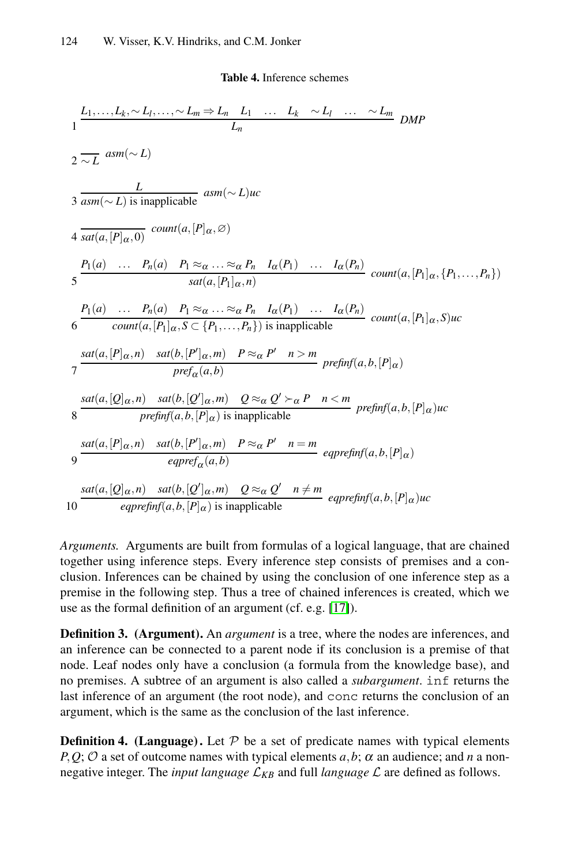<span id="page-9-0"></span>**Table 4.** Inference schemes

$$
\frac{L_1, \ldots, L_k \sim L_l, \ldots \sim L_m \Rightarrow L_n \quad L_1 \quad \ldots \quad L_k \quad \sim L_l \quad \ldots \quad \sim L_m}{L_n}
$$
\n
$$
2 \frac{L}{\sim L} \quad \text{asm}(\sim L)
$$
\n
$$
3 \quad \overline{asm(\sim L)} \text{ is inapplicable}} \quad \text{asm}(\sim L) \text{uc}
$$
\n
$$
4 \quad \overline{sat(a, [P]_{\alpha}, 0)} \quad \text{count}(a, [P]_{\alpha}, \varnothing)
$$
\n
$$
\frac{P_1(a) \quad \ldots \quad P_n(a) \quad P_1 \approx \alpha \ldots \approx \alpha \, P_n \quad I_{\alpha}(P_1) \quad \ldots \quad I_{\alpha}(P_n)}{\text{sat}(a, [P_1]_{\alpha}, n)}
$$
\n
$$
\frac{P_1(a) \quad \ldots \quad P_n(a) \quad P_1 \approx \alpha \ldots \approx \alpha \, P_n \quad I_{\alpha}(P_1) \quad \ldots \quad I_{\alpha}(P_n)}{\text{count}(a, [P_1]_{\alpha}, S \cup \{P_1\}, \ldots, P_n\}) \text{ is inapplicable}} \quad \text{count}(a, [P_1]_{\alpha}, S) \text{uc}
$$
\n
$$
3 \quad \overline{sat(a, [P]_{\alpha}, n) \quad sat(b, [P']_{\alpha}, m) \quad P \approx \alpha \, P' \quad n > m}{\text{prefix}(a, b, [P]_{\alpha})}
$$
\n
$$
8 \quad \overline{sat(a, [Q]_{\alpha}, n) \quad sat(b, [Q']_{\alpha}, m) \quad Q \approx \alpha \, Q' \succ \alpha \, P \quad n < m}{\text{prefix}(a, b, [P]_{\alpha}) \text{uc}}
$$
\n
$$
9 \quad \overline{sat(a, [Q]_{\alpha}, n) \quad sat(b, [P']_{\alpha}, m) \quad P \approx \alpha \, P' \quad n = m}{\text{degree}(m f(a, b, [P]_{\alpha})}
$$
\n
$$
10 \quad \overline{sat(a, [Q]_{\alpha}, n) \quad sat(b, [Q']_{\alpha}, m) \quad Q \approx \alpha \, Q' \quad n \neq m}{\text{degree}(m f(a, b, [P]_{\alpha}) \text{uc}}
$$

*Arguments.* Arguments are built from formulas of a logical language, that are chained together using inference steps. Every inference step consists of premises and a conclusion. Inferences can be chained by using the conclusion of one inference step as a premise in the following step. Thus a tree of chained inferences is created, which we use as the formal definition of an argument (cf. e.g. [17]).

**Definition 3. (Argument).** An *argument* is a tree, where the nodes are inferences, and an inference can be connected to a parent node if its conclusion is a premise of that node. Leaf nodes only have a conclusion (a formula from the knowledge base), and no premises. A subtree of an argument is also called a *subargument*. inf returns the last inference of an argument (the root node), and conc returns the conclusion of an argument, which is the same as the conclusion of the last inference.

**Definition 4. (Language).** Let  $P$  be a set of predicate names with typical elements *P*, *Q*;  $O$  a set of outcome names with typical elements *a*, *b*;  $\alpha$  an audience; and *n* a nonnegative integer. The *input language*  $\mathcal{L}_{KB}$  and full *language*  $\mathcal{L}$  are defined as follows.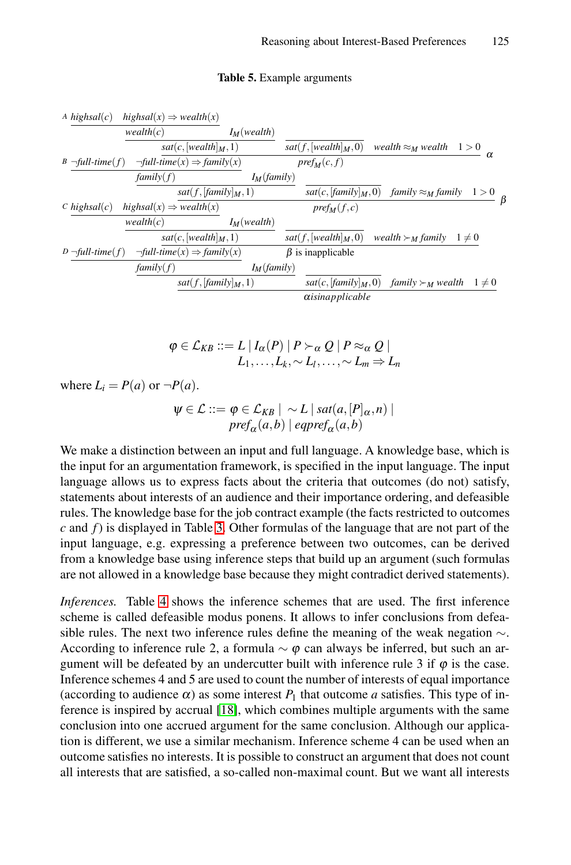| A highsal $(c)$                                       | $highsal(x) \Rightarrow wealth(x)$                                      |               |                         |                                    |           |
|-------------------------------------------------------|-------------------------------------------------------------------------|---------------|-------------------------|------------------------------------|-----------|
|                                                       | wealth(c)                                                               | $I_M(wealth)$ |                         |                                    |           |
| $sat(c,[weak]_M,1)$                                   |                                                                         |               | $sat(f,[wealth]_M, 0)$  | wealth $\approx_M$ wealth $1 > 0$  |           |
| $B \neg full-time(f)$                                 | $\neg full-time(x) \Rightarrow family(x)$                               |               | $pref_M(c,f)$           |                                    | $\alpha$  |
|                                                       | family(f)                                                               | $I_M(family)$ |                         |                                    |           |
| $sat(f, [family]_M, 1)$                               |                                                                         |               | $sat(c, [family]_M, 0)$ | family $\approx_M$ family $1 > 0$  |           |
| C highsal $(c)$<br>$highsal(x) \Rightarrow wealth(x)$ |                                                                         |               | $pref_M(f,c)$           |                                    |           |
|                                                       | wealth(c)                                                               |               |                         |                                    |           |
|                                                       | $sat(c,[weak]_M,1)$                                                     |               | $sat(f,[wealth]_M, 0)$  | wealth $\succ_M$ family $1 \neq 0$ |           |
| $D$ –full-time(f)                                     | $\neg full-time(x) \Rightarrow family(x)$<br>family(f)<br>$I_M(family)$ |               | $\beta$ is inapplicable |                                    |           |
|                                                       |                                                                         |               |                         |                                    |           |
| $sat(f,[family]_M, 1)$                                |                                                                         |               | $sat(c, [family]_M, 0)$ | family $\succ_M$ wealth            | $1\neq 0$ |
|                                                       | $\alpha$ <i>isinapplicable</i>                                          |               |                         |                                    |           |
|                                                       |                                                                         |               |                         |                                    |           |

<span id="page-10-0"></span>**Table 5.** Example arguments

```
\varphi \in \mathcal{L}_{KB} ::= L \, | \, I_\alpha(P) \, | \, P \succ_\alpha Q \, | \, P \approx_\alpha Q \, |L1,...,Lk,∼ Ll,...,∼ Lm ⇒ Ln
```
where  $L_i = P(a)$  or  $\neg P(a)$ .

 $\psi \in \mathcal{L} ::= \varphi \in \mathcal{L}_{KB} \mid \sim L \mid sat(a, [P]_{\alpha}, n) \mid$  $\mathit{pref}_\alpha(a,b) \mid \mathit{eqpref}_\alpha(a,b)$ 

We make a distinction between an input and full language. A knowledge base, which is the input for an argumentation framework, is specified in the input language. The input [la](#page-9-0)nguage allows us to express facts about the criteria that outcomes (do not) satisfy, statements about interests of an audience and their importance ordering, and defeasible rules. The knowledge base for the job contract example (the facts restricted to outcomes *c* and *f*) is displayed in Table 3. Other formulas of the language that are not part of the input language, e.g. expressing a preference between two outcomes, can be derived from a knowledge base using inference steps that build up an argument (such formulas are not allowed in a knowledge base because they might contradict derived statements).

*Inferences.* [Ta](#page-15-9)ble 4 shows the inference schemes that are used. The first inference scheme is called defeasible modus ponens. It allows to infer conclusions from defeasible rules. The next two inference rules define the meaning of the weak negation ∼. According to inference rule 2, a formula  $\sim \varphi$  can always be inferred, but such an argument will be defeated by an undercutter built with inference rule 3 if  $\varphi$  is the case. Inference schemes 4 and 5 are used to count the number of interests of equal importance (according to audience  $\alpha$ ) as some interest  $P_1$  that outcome *a* satisfies. This type of inference is inspired by accrual [18], which combines multiple arguments with the same conclusion into one accrued argument for the same conclusion. Although our application is different, we use a similar mechanism. Inference scheme 4 can be used when an outcome satisfies no interests. It is possible to construct an argument that does not count all interests that are satisfied, a so-called non-maximal count. But we want all interests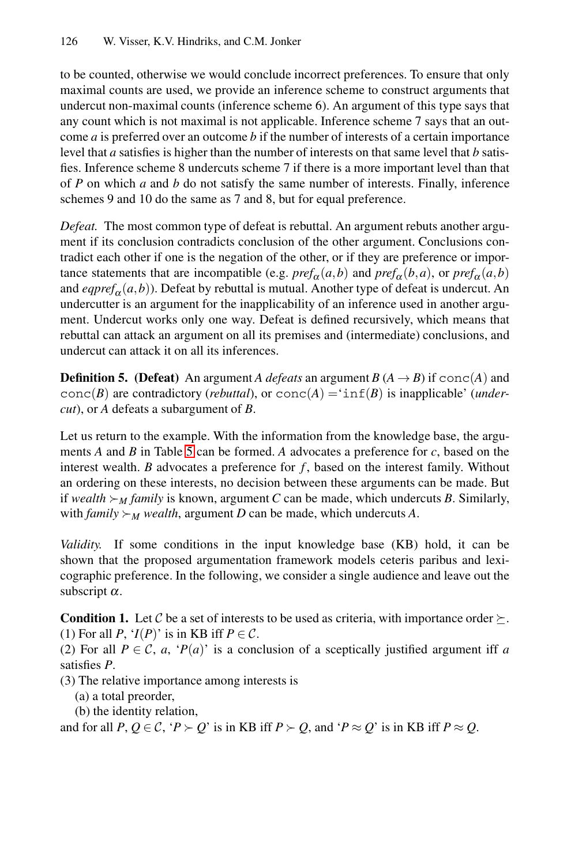to be counted, otherwise we would conclude incorrect preferences. To ensure that only maximal counts are used, we provide an inference scheme to construct arguments that undercut non-maximal counts (inference scheme 6). An argument of this type says that any count which is not maximal is not applicable. Inference scheme 7 says that an outcome *a* is preferred over an outcome *b* if the number of interests of a certain importance level that *a* satisfies is higher than the number of interests on that same level that *b* satisfies. Inference scheme 8 undercuts scheme 7 if there is a more important level than that of *P* on which *a* and *b* do not satisfy the same number of interests. Finally, inference schemes 9 and 10 do the same as 7 and 8, but for equal preference.

*Defeat.* The most common type of defeat is rebuttal. An argument rebuts another argument if its conclusion contradicts conclusion of the other argument. Conclusions contradict each other if one is the negation of the other, or if they are preference or importance statements that are incompatible (e.g.  $pref_{\alpha}(a,b)$  and  $pref_{\alpha}(b,a)$ , or  $pref_{\alpha}(a,b)$ and *eqpref<sub>a</sub>*( $a$ , $b$ )). Defeat by rebuttal is mutual. Another type of defeat is undercut. An undercutter is an argument for the inapplicability of an inference used in another argument. Undercut works only one way. Defeat is defined recursively, which means that rebu[tta](#page-10-0)l can attack an argument on all its premises and (intermediate) conclusions, and undercut can attack it on all its inferences.

<span id="page-11-0"></span>**Definition 5.** (Defeat) An argument *A defeats* an argument *B*  $(A \rightarrow B)$  if conc $(A)$  and conc $(B)$  are contradictory (*rebuttal*), or conc $(A) = \text{inf}(B)$  is inapplicable' (*undercut*), or *A* defeats a subargument of *B*.

Let us return to the example. With the information from the knowledge base, the arguments *A* and *B* in Table 5 can be formed. *A* advocates a preference for *c*, based on the interest wealth. *B* advocates a preference for *f* , based on the interest family. Without an ordering on these interests, no decision between these arguments can be made. But if *wealth*  $\succ_M$  *family* is known, argument *C* can be made, which undercuts *B*. Similarly, with  $family \rightarrow_M wealth$ , argument *D* can be made, which undercuts *A*.

*Validity.* If some conditions in the input knowledge base (KB) hold, it can be shown that the proposed argumentation framework models ceteris paribus and lexicographic preference. In the following, we consider a single audience and leave out the subscript  $\alpha$ .

**Condition 1.** Let C be a set of interests to be used as criteria, with importance order  $\succeq$ . (1) For all *P*, ' $I(P)$ ' is in KB iff  $P \in \mathcal{C}$ .

(2) For all  $P \in \mathcal{C}$ , *a*, ' $P(a)$ ' is a conclusion of a sceptically justified argument iff *a* satisfies *P*.

(3) The relative importance among interests is

(a) a total preorder,

(b) the identity relation,

and for all *P*,  $Q \in \mathcal{C}$ , ' $P \succ Q$ ' is in KB iff  $P \succ Q$ , and ' $P \approx Q$ ' is in KB iff  $P \approx Q$ .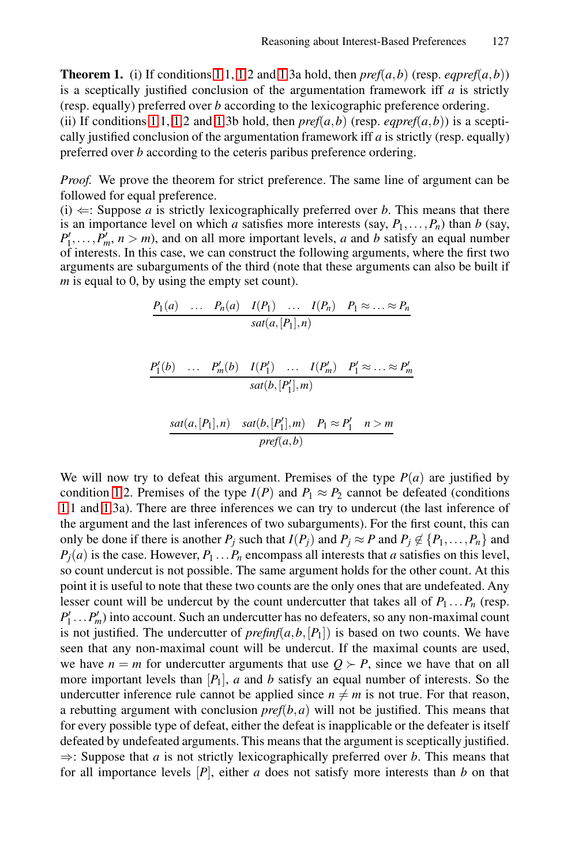**Theorem 1.** (i) If conditions 1.1, 1.2 and 1.3a hold, then  $pref(a,b)$  (resp. *eqpref* $(a,b)$ ) is a sceptically justified conclusion of the argumentation framework iff *a* is strictly (resp. equally) preferred over *b* according to the lexicographic preference ordering. (ii) If conditions 1.1, 1.2 and 1.3b hold, then  $pref(a,b)$  (resp. eqpref( $a,b$ )) is a sceptically justified conclusion of the argumentation framework iff *a* is strictly (resp. equally) preferred over *b* according to the ceteris paribus preference ordering.

*Proof.* We prove the theorem for strict preference. The same line of argument can be followed for equal preference.

(i)  $\Leftarrow$ : Suppose *a* is strictly lexicographically preferred over *b*. This means that there is an importance level on which *a* satisfies more interests (say,  $P_1, \ldots, P_n$ ) than *b* (say,  $P'_1, \ldots, P'_m, n > m$ , and on all more important levels, *a* and *b* satisfy an equal number of interests. In this case, we can construct the following arguments, where the first two arguments are subarguments of the third (note that these arguments can also be built if *m* is equal to 0, by using the empty set count).

$$
\frac{P_1(a) \dots P_n(a) \quad I(P_1) \dots I(P_n) \quad P_1 \approx \dots \approx P_n}{\text{sat}(a,[P_1],n)}
$$

$$
\frac{P'_1(b) \quad \dots \quad P'_m(b) \quad I(P'_1) \quad \dots \quad I(P'_m) \quad P'_1 \approx \dots \approx P'_m}{sat(b,[P'_1],m)}
$$

$$
\frac{sat(a,[P_1],n) \quad sat(b,[P'_1],m) \quad P_1 \approx P'_1 \quad n>m}{pref(a,b)}
$$

We will now try to defeat this argument. Premises of the type  $P(a)$  are justified by condition 1.2. Premises of the type  $I(P)$  and  $P_1 \approx P_2$  cannot be defeated (conditions 1.1 and 1.3a). There are three inferences we can try to undercut (the last inference of the argument and the last inferences of two subarguments). For the first count, this can only be done if there is another  $P_j$  such that  $I(P_j)$  and  $P_j \approx P$  and  $P_j \notin \{P_1, \ldots, P_n\}$  and  $P_i(a)$  is the case. However,  $P_1 \dots P_n$  encompass all interests that *a* satisfies on this level, so count undercut is not possible. The same argument holds for the other count. At this point it is useful to note that these two counts are the only ones that are undefeated. Any lesser count will be undercut by the count undercutter that takes all of  $P_1 \ldots P_n$  (resp.  $P_1' \ldots P_m'$  into account. Such an undercutter has no defeaters, so any non-maximal count is not justified. The undercutter of  $\text{prefix}(a, b, [P_1])$  is based on two counts. We have seen that any non-maximal count will be undercut. If the maximal counts are used, we have  $n = m$  for undercutter arguments that use  $Q \succ P$ , since we have that on all more important levels than  $[P_1]$ , *a* and *b* satisfy an equal number of interests. So the undercutter inference rule cannot be applied since  $n \neq m$  is not true. For that reason, a rebutting argument with conclusion  $pref(b,a)$  will not be justified. This means that for every possible type of defeat, either the defeat is inapplicable or the defeater is itself defeated by undefeated arguments. This means that the argument is sceptically justified. ⇒: Suppose that *a* is not strictly lexicographically preferred over *b*. This means that for all importance levels [*P*], either *a* does not satisfy more interests than *b* on that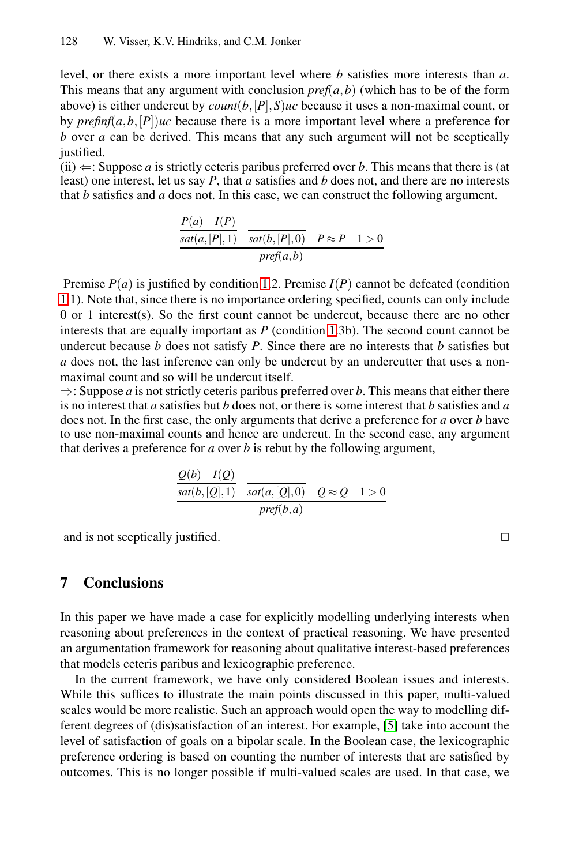level, or there exists a more important level where *b* satisfies more interests than *a*. This means that any argument with conclusion  $pref(a,b)$  (which has to be of the form above) is either undercut by  $count(b, [P], S)$ *uc* because it uses a non-maximal count, or by *prefinf*( $a$ , $b$ , $[P]$ ) $uc$  because there is a more important level where a preference for *b* over *a* can be derived. This means that any such argument will not be sceptically justified.

 $(ii) \leftarrow$ : Suppose *a* i[s s](#page-11-0)trictly ceteris paribus preferred over *b*. This means that there is (at least) one interest, let us say *P*, that *a* satisfies and *b* does not, and there are no interests that *b* satisfies and *a* does not. In this case, we can construct the following argument.

$$
\frac{P(a) I(P)}{sat(a,[P],1)} \frac{sat(b,[P],0)}{sat(b,[P],0)} P \approx P \quad 1>0
$$
  
pref(a,b)

Premise  $P(a)$  is justified by condition 1.2. Premise  $I(P)$  cannot be defeated (condition 1.1). Note that, since there is no importance ordering specified, counts can only include 0 or 1 interest(s). So the first count cannot be undercut, because there are no other interests that are equally important as *P* (condition 1.3b). The second count cannot be undercut because *b* does not satisfy *P*. Since there are no interests that *b* satisfies but *a* does not, the last inference can only be undercut by an undercutter that uses a nonmaximal count and so will be undercut itself.

<span id="page-13-0"></span>⇒: Suppose *a* is not strictly ceteris paribus preferred over *b*. This means that either there is no interest that *a* satisfies but *b* does not, or there is some interest that *b* satisfies and *a* does not. In the first case, the only arguments that derive a preference for *a* over *b* have to use non-maximal counts and hence are undercut. In the second case, any argument that derives a preference for *a* over *b* is rebut by the following argument,

$$
\frac{Q(b) \quad I(Q)}{sat(b,[Q],1)} \quad \frac{}{sat(a,[Q],0)} \quad Q \approx Q \quad 1>0
$$
  
pref(b,a)

and is not sceptically justified.

### **7 Conclusions**

In this paper we have made a case for exp[lic](#page-14-4)itly modelling underlying interests when reasoning about preferences in the context of practical reasoning. We have presented an argumentation framework for reasoning about qualitative interest-based preferences that models ceteris paribus and lexicographic preference.

In the current framework, we have only considered Boolean issues and interests. While this suffices to illustrate the main points discussed in this paper, multi-valued scales would be more realistic. Such an approach would open the way to modelling different degrees of (dis)satisfaction of an interest. For example, [5] take into account the level of satisfaction of goals on a bipolar scale. In the Boolean case, the lexicographic preference ordering is based on counting the number of interests that are satisfied by outcomes. This is no longer possible if multi-valued scales are used. In that case, we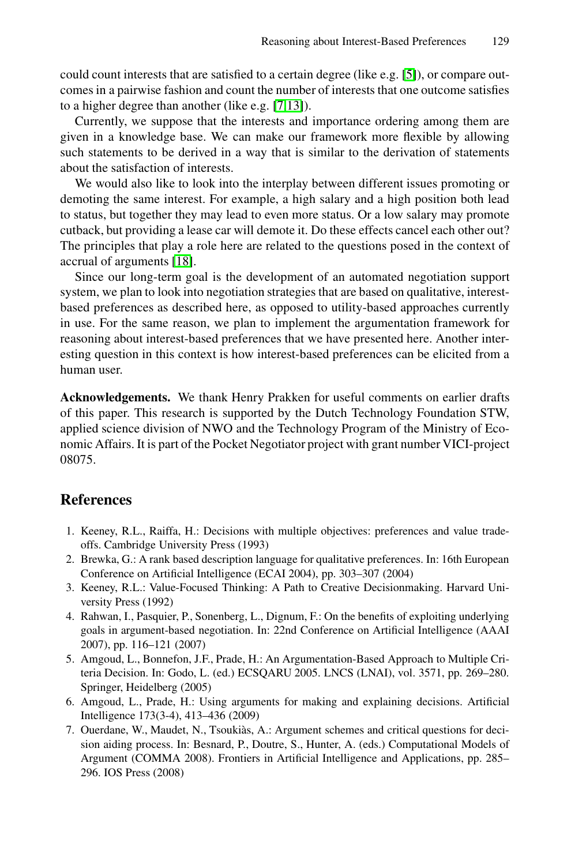could count interests that are satisfied to a certain degree (like e.g. [5]), or compare outcomes in a pairwise fashion and count the number of interests that one outcome satisfies to a higher degree than another (like e.g. [7,13]).

Currently, we suppose that the interests and importance ordering among them are gi[ven](#page-15-9) in a knowledge base. We can make our framework more flexible by allowing such statements to be derived in a way that is similar to the derivation of statements about the satisfaction of interests.

We would also like to look into the interplay between different issues promoting or demoting the same interest. For example, a high salary and a high position both lead to status, but together they may lead to even more status. Or a low salary may promote cutback, but providing a lease car will demote it. Do these effects cancel each other out? The principles that play a role here are related to the questions posed in the context of accrual of arguments [18].

<span id="page-14-0"></span>Since our long-term goal is the development of an automated negotiation support system, we plan to look into negotiation strategies that are based on qualitative, interestbased preferences as described here, as opposed to utility-based approaches currently in use. For the same reason, we plan to implement the argumentation framework for reasoning about interest-based preferences that we have presented here. Another interesting question in this context is how interest-based preferences can be elicited from a human user.

<span id="page-14-4"></span><span id="page-14-2"></span><span id="page-14-1"></span>**Acknowledgements.** We thank Henry Prakken for useful comments on earlier drafts of this paper. This research is supported by the Dutch Technology Foundation STW, applied science division of NWO and the Technology Program of the Ministry of Economic Affairs. It is part of the Pocket Negotiator project with grant number VICI-project 08075.

### <span id="page-14-3"></span>**References**

- 1. Keeney, R.L., Raiffa, H.: Decisions with multiple objectives: preferences and value tradeoffs. Cambridge University Press (1993)
- 2. Brewka, G.: A rank based description language for qualitative preferences. In: 16th European Conference on Artificial Intelligence (ECAI 2004), pp. 303–307 (2004)
- 3. Keeney, R.L.: Value-Focused Thinking: A Path to Creative Decisionmaking. Harvard University Press (1992)
- 4. Rahwan, I., Pasquier, P., Sonenberg, L., Dignum, F.: On the benefits of exploiting underlying goals in argument-based negotiation. In: 22nd Conference on Artificial Intelligence (AAAI 2007), pp. 116–121 (2007)
- 5. Amgoud, L., Bonnefon, J.F., Prade, H.: An Argumentation-Based Approach to Multiple Criteria Decision. In: Godo, L. (ed.) ECSQARU 2005. LNCS (LNAI), vol. 3571, pp. 269–280. Springer, Heidelberg (2005)
- 6. Amgoud, L., Prade, H.: Using arguments for making and explaining decisions. Artificial Intelligence 173(3-4), 413–436 (2009)
- 7. Ouerdane, W., Maudet, N., Tsoukiàs, A.: Argument schemes and critical questions for decision aiding process. In: Besnard, P., Doutre, S., Hunter, A. (eds.) Computational Models of Argument (COMMA 2008). Frontiers in Artificial Intelligence and Applications, pp. 285– 296. IOS Press (2008)